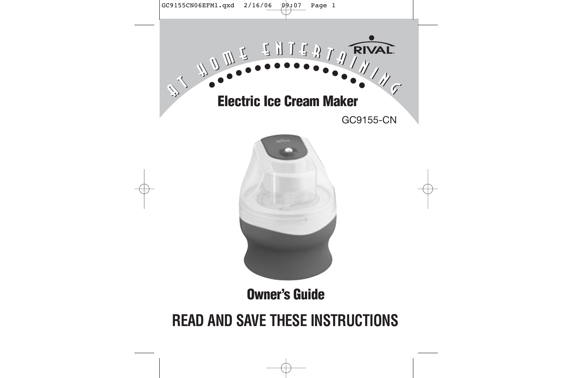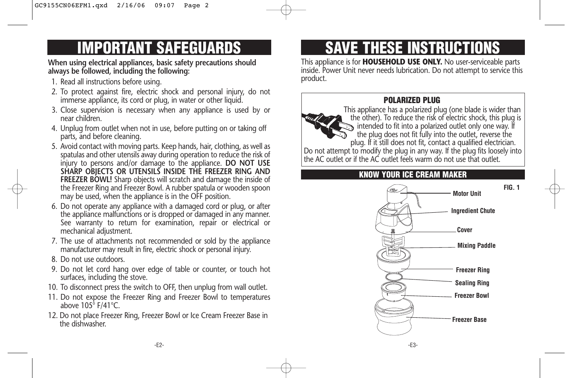# **IMPORTANT SAFEGUARDS**

**When using electrical appliances, basic safety precautions should always be followed, including the following:** 

- 1. Read all instructions before using.
- 2. To protect against fire, electric shock and personal injury, do not immerse appliance, its cord or plug, in water or other liquid.
- 3. Close supervision is necessary when any appliance is used by or near children.
- 4. Unplug from outlet when not in use, before putting on or taking off parts, and before cleaning.
- 5. Avoid contact with moving parts. Keep hands, hair, clothing, as well as spatulas and other utensils away during operation to reduce the risk of injury to persons and/or damage to the appliance. **DO NOT USE SHARP OBJECTS OR UTENSILS INSIDE THE FREEZER RING AND FREEZER BOWL!** Sharp objects will scratch and damage the inside of the Freezer Ring and Freezer Bowl. A rubber spatula or wooden spoon may be used, when the appliance is in the OFF position.
- 6. Do not operate any appliance with a damaged cord or plug, or after the appliance malfunctions or is dropped or damaged in any manner. See warranty to return for examination, repair or electrical or mechanical adjustment.
- 7. The use of attachments not recommended or sold by the appliance manufacturer may result in fire, electric shock or personal injury.
- 8. Do not use outdoors.
- 9. Do not let cord hang over edge of table or counter, or touch hot surfaces, including the stove.
- 10. To disconnect press the switch to OFF, then unplug from wall outlet.
- 11. Do not expose the Freezer Ring and Freezer Bowl to temperatures above 105° F/41°C.
- 12. Do not place Freezer Ring, Freezer Bowl or Ice Cream Freezer Base in the dishwasher.

# **SAVE THESE INSTRUCTIONS**

This appliance is for **HOUSEHOLD USE ONLY.** No user-serviceable parts inside. Power Unit never needs lubrication. Do not attempt to service this product.

## **POLARIZED PLUG**



## **KNOW YOUR ICE CREAM MAKER**



**FIG. 1**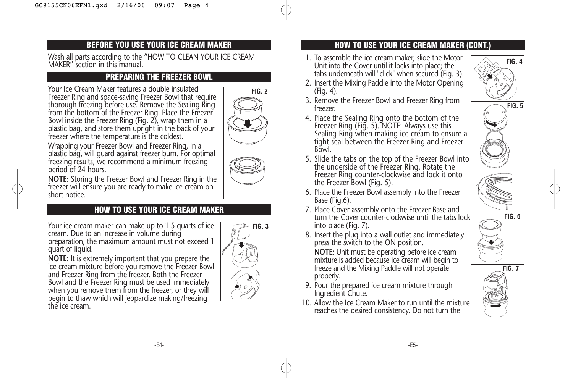### **BEFORE YOU USE YOUR ICE CREAM MAKER**

Wash all parts according to the "HOW TO CLEAN YOUR ICE CREAM MAKER" section in this manual.

### **PREPARING THE FREEZER BOWL**

Your Ice Cream Maker features a double insulated Freezer Ring and space-saving Freezer Bowl that require thorough freezing before use. Remove the Sealing Ring from the bottom of the Freezer Ring. Place the Freezer Bowl inside the Freezer Ring (Fig.  $2$ ), wrap them in a plastic bag, and store them upright in the back of your freezer where the temperature is the coldest.



Wrapping your Freezer Bowl and Freezer Ring, in a plastic bag, will guard against freezer burn. For optimal freezing results, we recommend a minimum freezing period of 24 hours.



**NOTE:** Storing the Freezer Bowl and Freezer Ring in the freezer will ensure you are ready to make ice cream on short notice.

## **HOW TO USE YOUR ICE CREAM MAKER**

Your ice cream maker can make up to 1.5 quarts of ice cream. Due to an increase in volume during preparation, the maximum amount must not exceed 1 quart of liquid.

**NOTE:** It is extremely important that you prepare the ice cream mixture before you remove the Freezer Bowl and Freezer Ring from the freezer. Both the Freezer Bowl and the Freezer Ring must be used immediately when you remove them from the freezer, or they will begin to thaw which will jeopardize making/freezing the ice cream.



### **HOW TO USE YOUR ICE CREAM MAKER (CONT.)**

- 1. To assemble the ice cream maker, slide the Motor Unit into the Cover until it locks into place; the tabs underneath will "click" when secured (Fig. 3).
- 2. Insert the Mixing Paddle into the Motor Opening (Fig. 4).
- 3. Remove the Freezer Bowl and Freezer Ring from freezer.
- 4. Place the Sealing Ring onto the bottom of the Freezer Ring (Fig. 5). NOTE: Always use this Sealing Ring when making ice cream to ensure a tight seal between the Freezer Ring and Freezer Bowl.
- 5. Slide the tabs on the top of the Freezer Bowl into the underside of the Freezer Ring. Rotate the Freezer Ring counter-clockwise and lock it onto the Freezer Bowl (Fig. 5).
- 6. Place the Freezer Bowl assembly into the Freezer Base (Fig.6).
- 7. Place Cover assembly onto the Freezer Base and turn the Cover counter-clockwise until the tabs lock into place (Fig. 7).
- 8. Insert the plug into a wall outlet and immediately press the switch to the ON position.

**NOTE:** Unit must be operating before ice cream mixture is added because ice cream will begin to freeze and the Mixing Paddle will not operate properly.

- 9. Pour the prepared ice cream mixture through Ingredient Chute.
- 10. Allow the Ice Cream Maker to run until the mixture reaches the desired consistency. Do not turn the



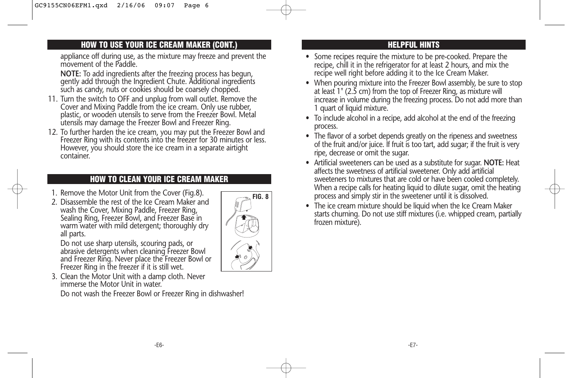### **HOW TO USE YOUR ICE CREAM MAKER (CONT.)**

appliance off during use, as the mixture may freeze and prevent the movement of the Paddle.

**NOTE:** To add ingredients after the freezing process has begun, gently add through the Ingredient Chute. Additional ingredients such as candy, nuts or cookies should be coarsely chopped.

- 11. Turn the switch to OFF and unplug from wall outlet. Remove the Cover and Mixing Paddle from the ice cream. Only use rubber, plastic, or wooden utensils to serve from the Freezer Bowl. Metal utensils may damage the Freezer Bowl and Freezer Ring.
- 12. To further harden the ice cream, you may put the Freezer Bowl and Freezer Ring with its contents into the freezer for 30 minutes or less. However, you should store the ice cream in a separate airtight container.

### **HOW TO CLEAN YOUR ICE CREAM MAKER**

- 1. Remove the Motor Unit from the Cover (Fig.8).
- 2. Disassemble the rest of the Ice Cream Maker and wash the Cover, Mixing Paddle, Freezer Ring, Sealing Ring, Freezer Bowl, and Freezer Base in warm water with mild detergent; thoroughly dry all parts.

Do not use sharp utensils, scouring pads, or abrasive detergents when cleaning Freezer Bowl and Freezer Ring. Never place the Freezer Bowl or Freezer Ring in the freezer if it is still wet.

3. Clean the Motor Unit with a damp cloth. Never immerse the Motor Unit in water.

Do not wash the Freezer Bowl or Freezer Ring in dishwasher!



### **HELPFUL HINTS**

- Some recipes require the mixture to be pre-cooked. Prepare the recipe, chill it in the refrigerator for at least 2 hours, and mix the recipe well right before adding it to the Ice Cream Maker.
- When pouring mixture into the Freezer Bowl assembly, be sure to stop at least 1" (2.5 cm) from the top of Freezer Ring, as mixture will increase in volume during the freezing process. Do not add more than 1 quart of liquid mixture.
- To include alcohol in a recipe, add alcohol at the end of the freezing process.
- The flavor of a sorbet depends greatly on the ripeness and sweetness of the fruit and/or juice. If fruit is too tart, add sugar; if the fruit is very ripe, decrease or omit the sugar.
- Artificial sweeteners can be used as a substitute for sugar. **NOTE:** Heat affects the sweetness of artificial sweetener. Only add artificial sweeteners to mixtures that are cold or have been cooled completely. When a recipe calls for heating liquid to dilute sugar, omit the heating process and simply stir in the sweetener until it is dissolved.
- The ice cream mixture should be liquid when the Ice Cream Maker starts churning. Do not use stiff mixtures (i.e. whipped cream, partially frozen mixture).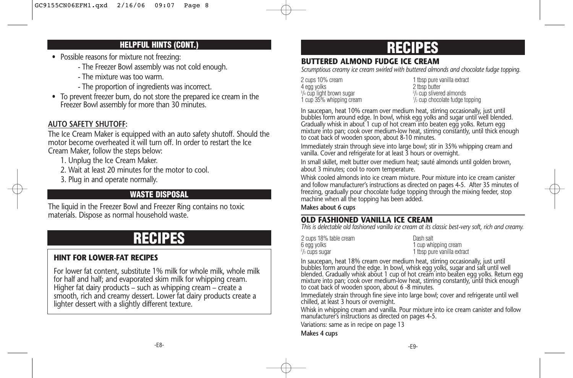### **HELPFUL HINTS (CONT.)**

- Possible reasons for mixture not freezing:
	- The Freezer Bowl assembly was not cold enough.
	- The mixture was too warm.
	- The proportion of ingredients was incorrect.
- To prevent freezer burn, do not store the prepared ice cream in the Freezer Bowl assembly for more than 30 minutes.

### **AUTO SAFETY SHUTOFF:**

The Ice Cream Maker is equipped with an auto safety shutoff. Should the motor become overheated it will turn off. In order to restart the Ice Cream Maker, follow the steps below:

- 1. Unplug the Ice Cream Maker.
- 2. Wait at least 20 minutes for the motor to cool.
- 3. Plug in and operate normally.

## **WASTE DISPOSAL**

The liquid in the Freezer Bowl and Freezer Ring contains no toxic materials. Dispose as normal household waste.

# **RECIPES**

### **HINT FOR LOWER-FAT RECIPES**

For lower fat content, substitute 1% milk for whole milk, whole milk for half and half; and evaporated skim milk for whipping cream. Higher fat dairy products – such as whipping cream – create a smooth, rich and creamy dessert. Lower fat dairy products create a lighter dessert with a slightly different texture.

# **RECIPES**

### **BUTTERED ALMOND FUDGE ICE CREAM**

*Scrumptious creamy ice cream swirled with buttered almonds and chocolate fudge topping.*

2 cups 10% cream 1 tbsp pure vanilla extract<br>4 ega volks  $3/4$  cup light brown sugar  $2$ 1 cup 35% whipping cream <sup>1</sup>

2 tbsp butter  $\frac{2}{3}$  cup slivered almonds  $\frac{1}{2}$  cup chocolate fudge topping

In saucepan, heat 10% cream over medium heat, stirring occasionally, just until bubbles form around edge. In bowl, whisk egg yolks and sugar until well blended. Gradually whisk in about 1 cup of hot cream into beaten egg yolks. Return egg mixture into pan; cook over medium-low heat, stirring constantly, until thick enough to coat back of wooden spoon, about 8-10 minutes.

Immediately strain through sieve into large bowl; stir in 35% whipping cream and vanilla. Cover and refrigerate for at least 3 hours or overnight.

In small skillet, melt butter over medium heat; sauté almonds until golden brown, about 3 minutes; cool to room temperature.

Whisk cooled almonds into ice cream mixture. Pour mixture into ice cream canister and follow manufacturer's instructions as directed on pages 4-5. After 35 minutes of freezing, gradually pour chocolate fudge topping through the mixing feeder, stop machine when all the topping has been added.

**Makes about 6 cups**

### **OLD FASHIONED VANILLA ICE CREAM**

*This is delectable old fashioned vanilla ice cream at its classic best-very soft, rich and creamy.*

| 2 cups 18% table cream | Dash salt                   |
|------------------------|-----------------------------|
| 6 egg volks            | 1 cup whipping cream        |
| $2/3$ cups sugar       | 1 tbsp pure vanilla extract |

In saucepan, heat 18% cream over medium heat, stirring occasionally, just until bubbles form around the edge. In bowl, whisk egg yolks, sugar and salt until well<br>blended. Gradually whisk about 1 cup of hot cream into beaten egg yolks. Return egg<br>mixture into pan; cook over medium-low heat, stirring co to coat back of wooden spoon, about 6 -8 minutes.

Immediately strain through fine sieve into large bowl; cover and refrigerate until well chilled, at least 3 hours or overnight.

Whisk in whipping cream and vanilla. Pour mixture into ice cream canister and follow manufacturer's instructions as directed on pages 4-5.

Variations: same as in recipe on page 13

**Makes 4 cups**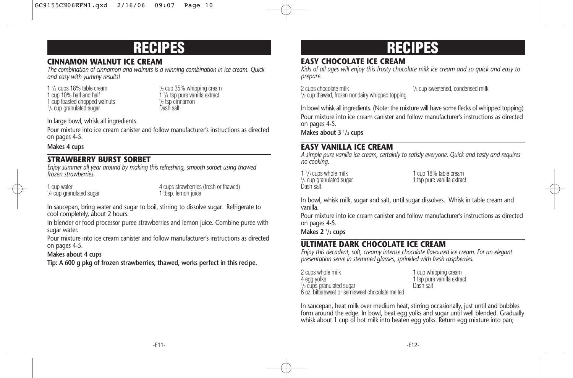## **RECIPES**

### **CINNAMON WALNUT ICE CREAM**

*The combination of cinnamon and walnuts is a winning combination in ice cream. Quick and easy with yummy results!*

1  $\frac{1}{2}$  cups 18% table cream  $\frac{1}{2}$ 1 cup 10% half and half 1 cup toasted chopped walnuts  $\frac{1}{2}$  tsp cin  $\frac{3}{4}$  cup to ranulated sugar <sup>3</sup>/<sub>4</sub> cup granulated sugar **Dash salt** 

 $\frac{1}{2}$  cup 35% whipping cream  $1\frac{1}{4}$  tsp pure vanilla extract  $\frac{1}{2}$  tsp cinnamon

In large bowl, whisk all ingredients.

Pour mixture into ice cream canister and follow manufacturer's instructions as directed on pages 4-5.

**Makes 4 cups**

### **STRAWBERRY BURST SORBET**

*Enjoy summer all year around by making this refreshing, smooth sorbet using thawed frozen strawberries.*

 $1/2$  cup granulated sugar  $1$  tbsp. lemon juice

1 cup water 4 cups strawberries (fresh or thawed)<br>  $\frac{1}{2}$  cup dranulated sugar and the top of the 1 thsp. lemon iuice

In saucepan, bring water and sugar to boil, stirring to dissolve sugar. Refrigerate to cool completely, about 2 hours.

In blender or food processor puree strawberries and lemon juice. Combine puree with sugar water.

Pour mixture into ice cream canister and follow manufacturer's instructions as directed on pages 4-5.

### **Makes about 4 cups**

**Tip: A 600 g pkg of frozen strawberries, thawed, works perfect in this recipe.**

# **RECIPES**

### **EASY CHOCOLATE ICE CREAM**

*Kids of all ages will enjoy this frosty chocolate milk ice cream and so quick and easy to prepare.*

2 cups chocolate milk <sup>1</sup>  $\frac{1}{3}$  cup sweetened, condensed milk 1 /2 cup thawed, frozen nondairy whipped topping

In bowl whisk all ingredients. (Note: the mixture will have some flecks of whipped topping)

Pour mixture into ice cream canister and follow manufacturer's instructions as directed on pages 4-5.

Makes about 3  $\frac{1}{2}$  cups

### **EASY VANILLA ICE CREAM**

*A simple pure vanilla ice cream, certainly to satisfy everyone. Quick and tasty and requires no cooking.*

1 **1** Dash salt

1 cup 18% table cream<br>1 tsp pure vanilla extract  $3/4$  cup granulated sugar  $1$  tsp pure vanilla extract

In bowl, whisk milk, sugar and salt, until sugar dissolves. Whisk in table cream and vanilla.

Pour mixture into ice cream canister and follow manufacturer's instructions as directed on pages 4-5.

**Makes 2 1 /2 cups**

## **ULTIMATE DARK CHOCOLATE ICE CREAM**

*Enjoy this decadent, soft, creamy intense chocolate flavoured ice cream. For an elegant presentation serve in stemmed glasses, sprinkled with fresh raspberries.*

2 cups whole milk<br>4 egg yolks 1 cup whipping cream<br>1 tsp pure vanilla extract <sup>2</sup>/<sub>3</sub> cups granulated sugar **Dash salt** 6 oz. bittersweet or semisweet chocolate,melted

1 tsp pure vanilla extract<br>Dash salt

In saucepan, heat milk over medium heat, stirring occasionally, just until and bubbles form around the edge. In bowl, beat egg yolks and sugar until well blended. Gradually whisk about 1 cup of hot milk into beaten egg yolks. Return egg mixture into pan;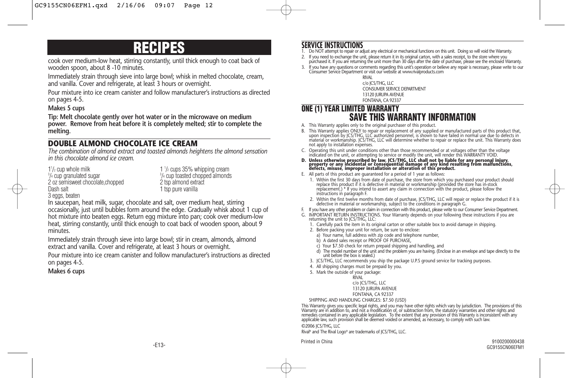# **RECIPES**

cook over medium-low heat, stirring constantly, until thick enough to coat back of wooden spoon, about 8 -10 minutes.

Immediately strain through sieve into large bowl; whisk in melted chocolate, cream, and vanilla. Cover and refrigerate, at least 3 hours or overnight.

Pour mixture into ice cream canister and follow manufacturer's instructions as directed on pages 4-5.

#### **Makes 5 cups**

**Tip: Melt chocolate gently over hot water or in the microwave on medium power. Remove from heat before it is completely melted; stir to complete the melting.**

### **DOUBLE ALMOND CHOCOLATE ICE CREAM**

*The combination of almond extract and toasted almonds heightens the almond sensation in this chocolate almond ice cream.*

 $1\frac{1}{2}$  cup whole milk  $1\frac{1}{2}$  $3/4$  cup granulated sugar  $3/3$ 2 oz semisweet chocolate,chopped<br>Dash salt 3 eggs, beaten

 $1\frac{1}{2}$  cups 35% whipping cream  $3/4$  cup toasted chopped almonds<br>2 tsp almond extract 1 tsp pure vanilla

In saucepan, heat milk, sugar, chocolate and salt, over medium heat, stirring occasionally, just until bubbles form around the edge. Gradually whisk about 1 cup of hot mixture into beaten eggs. Return egg mixture into pan; cook over medium-low heat, stirring constantly, until thick enough to coat back of wooden spoon, about 9 minutes.

Immediately strain through sieve into large bowl; stir in cream, almonds, almond extract and vanilla. Cover and refrigerate, at least 3 hours or overnight.

Pour mixture into ice cream canister and follow manufacturer's instructions as directed on pages 4-5.

#### **Makes 6 cups**

### **SERVICE INSTRUCTIONS**

- 1. Do NOT attempt to repair or adjust any electrical or mechanical functions on this unit. Doing so will void the Warranty.
- 2. If you need to exchange the unit, please return it in its original carton, with a sales receipt, to the store where you purchased it. If you are returning the unit more than 30 days after the date of purchase, please see the enclosed Warranty.
- 3. If you have any questions or comments regarding this unit's operation or believe any repair is necessary, please write to our Consumer Service Department or visit our website at www.rivalproducts.com

RIVAL c/o JCS/THG, LLC CONSUMER SERVICE DEPARTMENT 13120 JURUPA AVENUE FONTANA, CA 92337

### **ONE (1) YEAR LIMITED WARRANTY SAVE THIS WARRANTY INFORMATION**

- A. This Warranty applies only to the original purchaser of this product.
- B. This Warranty applies ONLY to repair or replacement of any supplied or manufactured parts of this product that, upon inspection by JCS/THG, LLC authorized personnel, is shown to have failed in normal use due to defects in<br>material or workmanship. JCS/THG, LLC will determine whether to repair or replace the unit. This Warranty does not apply to installation expenses.
- C. Operating this unit under conditions other than those recommended or at voltages other than the voltage indicated on the unit, or attempting to service or modify the unit, will render this WARRANTY VOID.
- D. Unless otherwise proscribed by law, JCS/THG, LLC shall not be liable for any personal injury,<br>property or any incidental or consequential damage of any kind resulting from malfunctions,<br>defects, misuse, improper install
- E. All parts of this product are guaranteed for a period of 1 year as follows:
	- 1. Within the first 30 days from date of purchase, the store from which you purchased your product should replace this product if it is defective in material or workmanship (provided the store has in-stock replacement.) \* If you intend to assert any claim in connection with the product, please follow the instructions in paragraph F.
	- 2. Within the first twelve months from date of purchase, JCS/THG, LLC will repair or replace the product if it is defective in material or workmanship, subject to the conditions in paragraph G.
- F. If you have any other problem or claim in connection with this product, please write to our Consumer Service Department.
- G. IMPORTANT RETURN INSTRUCTIONS. Your Warranty depends on your following these instructions if you are returning the unit to JCS/THG, LLC:
	- 1. Carefully pack the item in its original carton or other suitable box to avoid damage in shipping.
	- 2. Before packing your unit for return, be sure to enclose:
		- a) Your name, full address with zip code and telephone number,
	- b) A dated sales receipt or PROOF OF PURCHASE,
	- c) Your \$7.50 check for return prepaid shipping and handling, and
	- d) The model number of the unit and the problem you are having. (Enclose in an envelope and tape directly to the unit before the box is sealed.)
	- 3. JCS/THG, LLC recommends you ship the package U.P.S ground service for tracking purposes.
	- 4. All shipping charges must be prepaid by you.
	- 5. Mark the outside of your package:

**RIVAL** c/o JCS/THG, LLC 13120 JURUPA AVENUE FONTANA, CA 92337

SHIPPING AND HANDLING CHARGES: \$7.50 (USD)

This Warranty gives you specific legal rights, and you may have other rights which vary by jurisdiction. The provisions of this<br>Warranty are in addition to, and not a modification of, or subtraction from, the statutory war remedies contained in any applicable legislation. To the extent that any provision of this Warranty is inconsistent with any<br>applicable law, such provision shall be deemed voided or amended, as necessary, to comply with s

#### ©2006 JCS/THG, LLC

Rival® and The Rival Logo® are trademarks of JCS/THG, LLC.

Printed in China 9100200000438 GC9155CN06EFM1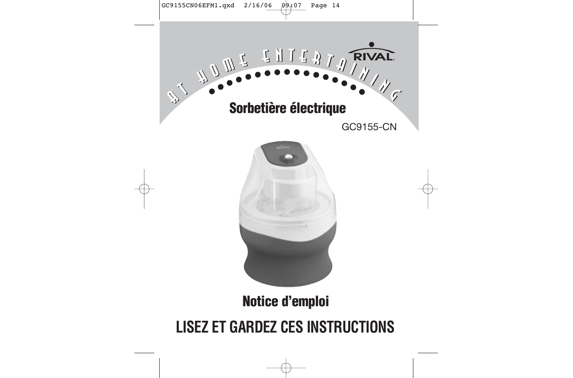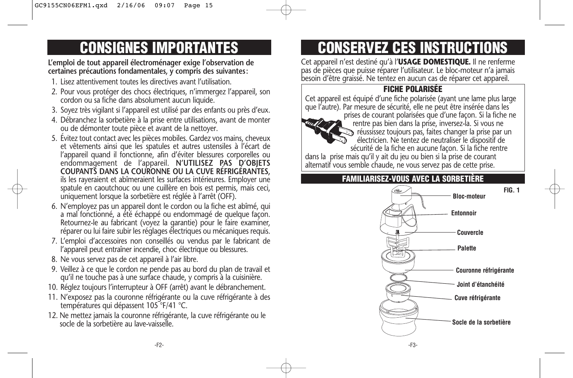# **CONSIGNES IMPORTANTES**

### **L'emploi de tout appareil électroménager exige l'observation de certaines précautions fondamentales, y compris des suivantes:**

- 1. Lisez attentivement toutes les directives avant l'utilisation.
- 2. Pour vous protéger des chocs électriques, n'immergez l'appareil, son cordon ou sa fiche dans absolument aucun liquide.
- 3. Soyez très vigilant si l'appareil est utilisé par des enfants ou près d'eux.
- 4. Débranchez la sorbetière à la prise entre utilisations, avant de monter ou de démonter toute pièce et avant de la nettoyer.
- 5. Évitez tout contact avec les pièces mobiles. Gardez vos mains, cheveux et vêtements ainsi que les spatules et autres ustensiles à l'écart de l'appareil quand il fonctionne, afin d'éviter blessures corporelles ou endommagement de l'appareil. **N'UTILISEZ PAS D'OBJETS COUPANTS DANS LA COURONNE OU LA CUVE RÉFRIGÉRANTES,** ils les rayeraient et abîmeraient les surfaces intérieures. Employer une spatule en caoutchouc ou une cuillère en bois est permis, mais ceci, uniquement lorsque la sorbetière est réglée à l'arrêt (OFF).
- 6. N'employez pas un appareil dont le cordon ou la fiche est abîmé, qui a mal fonctionné, a été échappé ou endommagé de quelque façon. Retournez-le au fabricant (voyez la garantie) pour le faire examiner, réparer ou lui faire subir les réglages électriques ou mécaniques requis.
- 7. L'emploi d'accessoires non conseillés ou vendus par le fabricant de l'appareil peut entraîner incendie, choc électrique ou blessures.
- 8. Ne vous servez pas de cet appareil à l'air libre.
- 9. Veillez à ce que le cordon ne pende pas au bord du plan de travail et qu'il ne touche pas à une surface chaude, y compris à la cuisinière.
- 10. Réglez toujours l'interrupteur à OFF (arrêt) avant le débranchement.
- 11. N'exposez pas la couronne réfrigérante ou la cuve réfrigérante à des températures qui dépassent 105°F/41 °C.
- 12. Ne mettez jamais la couronne réfrigérante, la cuve réfrigérante ou le socle de la sorbetière au lave-vaisselle.

# **CONSERVEZ CES INSTRUCTIONS**

Cet appareil n'est destiné qu'à l'**USAGE DOMESTIQUE.** Il ne renferme pas de pièces que puisse réparer l'utilisateur. Le bloc-moteur n'a jamais besoin d'être graissé. Ne tentez en aucun cas de réparer cet appareil.

### **FICHE POLARISÉE**

Cet appareil est équipé d'une fiche polarisée (ayant une lame plus large que l'autre). Par mesure de sécurité, elle ne peut être insérée dans les



prises de courant polarisées que d'une façon. Si la fiche ne rentre pas bien dans la prise, inversez-la. Si vous ne réussissez toujours pas, faites changer la prise par un électricien. Ne tentez de neutraliser le dispositif de sécurité de la fiche en aucune façon. Si la fiche rentre

dans la prise mais qu'il y ait du jeu ou bien si la prise de courant alternatif vous semble chaude, ne vous servez pas de cette prise.

### **FAMILIARISEZ-VOUS AVEC LA SORBETIÈRE**

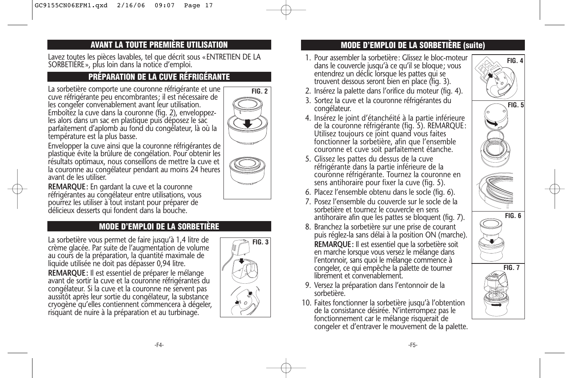## **AVANT LA TOUTE PREMIÈRE UTILISATION**

Lavez toutes les pièces lavables, tel que décrit sous «ENTRETIEN DE LA SORBETIÈRE», plus loin dans la notice d'emploi.

### **PRÉPARATION DE LA CUVE RÉFRIGÉRANTE**

La sorbetière comporte une couronne réfrigérante et une cuve réfrigérante peu encombrantes; il est nécessaire de les congeler convenablement avant leur utilisation. Emboîtez la cuve dans la couronne (fig. 2), enveloppezles alors dans un sac en plastique puis déposez le sac parfaitement d'aplomb au fond du congélateur, là où la température est la plus basse.



Envelopper la cuve ainsi que la couronne réfrigérantes de plastique évite la brûlure de congélation. Pour obtenir les résultats optimaux, nous conseillons de mettre la cuve et la couronne au congélateur pendant au moins 24 heures avant de les utiliser.

**REMARQUE:** En gardant la cuve et la couronne réfrigérantes au congélateur entre utilisations, vous pourrez les utiliser à tout instant pour préparer de délicieux desserts qui fondent dans la bouche.

### **MODE D'EMPLOI DE LA SORBETIÈRE**

La sorbetière vous permet de faire jusqu'à 1,4 litre de crème glacée. Par suite de l'augmentation de volume au cours de la préparation, la quantité maximale de liquide utilisée ne doit pas dépasser 0,94 litre.

**REMARQUE:** Il est essentiel de préparer le mélange avant de sortir la cuve et la couronne réfrigérantes du congélateur. Si la cuve et la couronne ne servent pas aussitôt après leur sortie du congélateur, la substance cryogène qu'elles contiennent commencera à dégeler, risquant de nuire à la préparation et au turbinage.



### **MODE D'EMPLOI DE LA SORBETIÈRE (suite)**

- 1. Pour assembler la sorbetière: Glissez le bloc-moteur dans le couvercle jusqu'à ce qu'il se bloque; vous entendrez un déclic lorsque les pattes qui se trouvent dessous seront bien en place (fig. 3).
- 2. Insérez la palette dans l'orifice du moteur (fig. 4).
- 3. Sortez la cuve et la couronne réfrigérantes du congélateur.
- 4. Insérez le joint d'étanchéité à la partie inférieure de la couronne réfrigérante (fig. 5). REMARQUE: Utilisez toujours ce joint quand vous faites fonctionner la sorbetière, afin que l'ensemble couronne et cuve soit parfaitement étanche.
- 5. Glissez les pattes du dessus de la cuve réfrigérante dans la partie inférieure de la couronne réfrigérante. Tournez la couronne en sens antihoraire pour fixer la cuve (fig. 5).
- 6. Placez l'ensemble obtenu dans le socle (fig. 6).
- 7. Posez l'ensemble du couvercle sur le socle de la sorbetière et tournez le couvercle en sens antihoraire afin que les pattes se bloquent (fig. 7).
- 8. Branchez la sorbetière sur une prise de courant puis réglez-la sans délai à la position ON (marche). **REMARQUE:** Il est essentiel que la sorbetière soit en marche lorsque vous versez le mélange dans l'entonnoir, sans quoi le mélange commence à congeler, ce qui empêche la palette de tourner librement et convenablement.
- 9. Versez la préparation dans l'entonnoir de la sorbetière.
- 10. Faites fonctionner la sorbetière jusqu'à l'obtention de la consistance désirée. N'interrompez pas le fonctionnement car le mélange risquerait de congeler et d'entraver le mouvement de la palette.

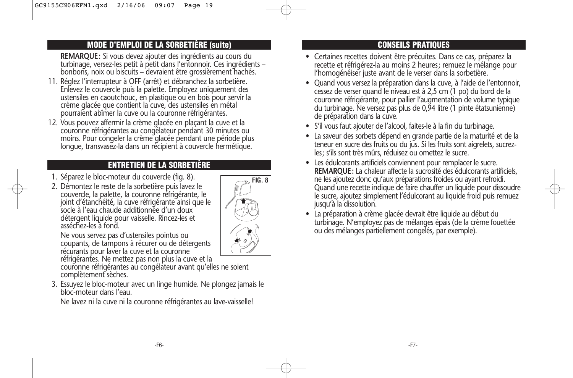### **MODE D'EMPLOI DE LA SORBETIÈRE (suite)**

**REMARQUE:** Si vous devez ajouter des ingrédients au cours du turbinage, versez-les petit à petit dans l'entonnoir. Ces ingrédients – bonbons, noix ou biscuits – devraient être grossièrement hachés.

- 11. Réglez l'interrupteur à OFF (arrêt) et débranchez la sorbetière. Enlevez le couvercle puis la palette. Employez uniquement des ustensiles en caoutchouc, en plastique ou en bois pour servir la crème glacée que contient la cuve, des ustensiles en métal pourraient abîmer la cuve ou la couronne réfrigérantes.
- 12. Vous pouvez affermir la crème glacée en plaçant la cuve et la couronne réfrigérantes au congélateur pendant 30 minutes ou moins. Pour congeler la crème glacée pendant une période plus longue, transvasez-la dans un récipient à couvercle hermétique.

### **ENTRETIEN DE LA SORBETIÈRE**

- 1. Séparez le bloc-moteur du couvercle (fig. 8).
- 2. Démontez le reste de la sorbetière puis lavez le couvercle, la palette, la couronne réfrigérante, le joint d'étanchéité, la cuve réfrigérante ainsi que le socle à l'eau chaude additionnée d'un doux détergent liquide pour vaisselle. Rincez-les et asséchez-les à fond.



Ne vous servez pas d'ustensiles pointus ou coupants, de tampons à récurer ou de détergents récurants pour laver la cuve et la couronne réfrigérantes. Ne mettez pas non plus la cuve et la

couronne réfrigérantes au congélateur avant qu'elles ne soient complètement sèches.

3. Essuyez le bloc-moteur avec un linge humide. Ne plongez jamais le bloc-moteur dans l'eau.

Ne lavez ni la cuve ni la couronne réfrigérantes au lave-vaisselle!

## **CONSEILS PRATIQUES**

- Certaines recettes doivent être précuites. Dans ce cas, préparez la recette et réfrigérez-la au moins 2 heures; remuez le mélange pour l'homogénéiser juste avant de le verser dans la sorbetière.
- Quand vous versez la préparation dans la cuve, à l'aide de l'entonnoir, cessez de verser quand le niveau est à 2,5 cm (1 po) du bord de la couronne réfrigérante, pour pallier l'augmentation de volume typique du turbinage. Ne versez pas plus de 0,94 litre (1 pinte étatsunienne) de préparation dans la cuve.
- S'il vous faut ajouter de l'alcool, faites-le à la fin du turbinage.
- La saveur des sorbets dépend en grande partie de la maturité et de la teneur en sucre des fruits ou du jus. Si les fruits sont aigrelets, sucrezles; s'ils sont très mûrs, réduisez ou omettez le sucre.
- Les édulcorants artificiels conviennent pour remplacer le sucre. **REMARQUE:** La chaleur affecte la sucrosité des édulcorants artificiels, ne les ajoutez donc qu'aux préparations froides ou ayant refroidi. Quand une recette indique de faire chauffer un liquide pour dissoudre le sucre, ajoutez simplement l'édulcorant au liquide froid puis remuez jusqu'à la dissolution.
- La préparation à crème glacée devrait être liquide au début du turbinage. N'employez pas de mélanges épais (de la crème fouettée ou des mélanges partiellement congelés, par exemple).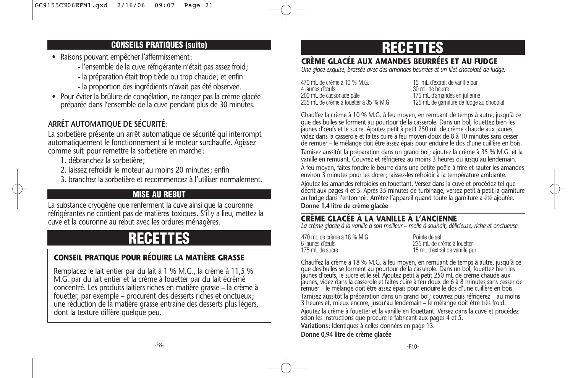### **CONSEILS PRATIQUES (suite)**

- Raisons pouvant empêcher l'affermissement:
	- l'ensemble de la cuve réfrigérante n'était pas assez froid;
	- la préparation était trop tiède ou trop chaude; et enfin
	- la proportion des ingrédients n'avait pas été observée.
- Pour éviter la brûlure de congélation, ne rangez pas la crème glacée préparée dans l'ensemble de la cuve pendant plus de 30 minutes.

## **ARRÊT AUTOMATIQUE DE SÉCURITÉ:**

La sorbetière présente un arrêt automatique de sécurité qui interrompt automatiquement le fonctionnement si le moteur surchauffe. Agissez comme suit pour remettre la sorbetière en marche:

- 1. débranchez la sorbetière;
- 2. laissez refroidir le moteur au moins 20 minutes; enfin
- 3. branchez la sorbetière et recommencez à l'utiliser normalement.

## **MISE AU REBUT**

La substance cryogène que renferment la cuve ainsi que la couronne réfrigérantes ne contient pas de matières toxiques. S'il y a lieu, mettez la cuve et la couronne au rebut avec les ordures ménagères.

# **RECETT**

### **CONSEIL PRATIQUE POUR RÉDUIRE LA MATIÈRE GRASSE**

Remplacez le lait entier par du lait à 1 % M.G., la crème à 11,5 % M.G. par du lait entier et la crème à fouetter par du lait écrémé concentré. Les produits laitiers riches en matière grasse – la crème à fouetter, par exemple – procurent des desserts riches et onctueux; une réduction de la matière grasse entraîne des desserts plus légers, dont la texture diffère quelque peu.

# **RECETTES**

### **CRÈME GLACÉE AUX AMANDES BEURRÉES ET AU FUDGE**

*Une glace exquise, brassée avec des amandes beurrées et un filet chocolaté de fudge.*

470 mL de crème à 10 % M.G. 15 mL d'extrait de vanille pur superficient de vanille pur de vanille pur superficient de vanille pur superficient de vanille pur superficient de vanille pur superficient de vanille pur superfic 4 jaunes d'œufs 30 mL de beurre 200 mL de cassonade pâle 175 mL d'amandes en julienne<br>125 mL de crème à fouetter à 35 % M.G. 125 mL de garniture de fudge a

125 mL de garniture de fudge au chocolat

Chauffez la crème à 10 % M.G. à feu moyen, en remuant de temps à autre, jusqu'à ce que des bulles se forment au pourtour de la casserole. Dans un bol, fouettez bien les jaunes d'œufs et le sucre. Ajoutez petit à petit 250 mL de crème chaude aux jaunes, videz dans la casserole et faites cuire à feu moyen-doux de 8 à 10 minutes sans cesser de remuer – le mélange doit être assez épais pour enduire le dos d'une cuillère en bois.

Tamisez aussitôt la préparation dans un grand bol; ajoutez la crème à 35 % M.G. et la vanille en remuant. Couvrez et réfrigérez au moins 3 heures ou jusqu'au lendemain.

À feu moyen, faites fondre le beurre dans une petite poêle à frire et sauter les amandes environ 3 minutes pour les dorer; laissez-les refroidir à la température ambiante.

Ajoutez les amandes refroidies en fouettant. Versez dans la cuve et procédez tel que décrit aux pages 4 et 5. Après 35 minutes de turbinage, versez petit à petit la garniture au fudge dans l'entonnoir. Arrêtez l'appareil quand toute la garniture a été ajoutée. **Donne 1,4 litre de crème glacée**

### **CRÈME GLACÉE À LA VANILLE À L'ANCIENNE**

*La crème glacée à la vanille à son meilleur – molle à souhait, délicieuse, riche et onctueuse.*

| 470 mL de crème à 18 % M.G. | Pointe de sel                  |
|-----------------------------|--------------------------------|
| 6 jaunes d'œufs             | 235 mL de crème à fouetter     |
| 175 mL de sucre             | 15 mL d'extrait de vanille pur |

Chauffez la crème à 18 % M.G. à feu moyen, en remuant de temps à autre, jusqu'à ce que des bulles se forment au pourtour de la casserole. Dans un bol, fouettez bien les jaunes d'œufs, le sucre et le sel. Ajoutez petit à petit 250 mL de crème chaude aux jaunes, videz dans la casserole et faites cuire à feu doux de 6 à 8 minutes sans cesser de remuer – le mélange doit être assez épais pour enduire le dos d'une cuillère en bois. Tamisez aussitôt la préparation dans un grand bol; couvrez puis réfrigérez – au moins 3 heures et, mieux encore, jusqu'au lendemain – le mélange doit être très froid. Ajoutez la crème à fouetter et la vanille en fouettant. Versez dans la cuve et procédez selon les instructions que procure le fabricant aux pages 4 et 5. **Variations:** Identiques à celles données en page 13.

**Donne 0,94 litre de crème glacée**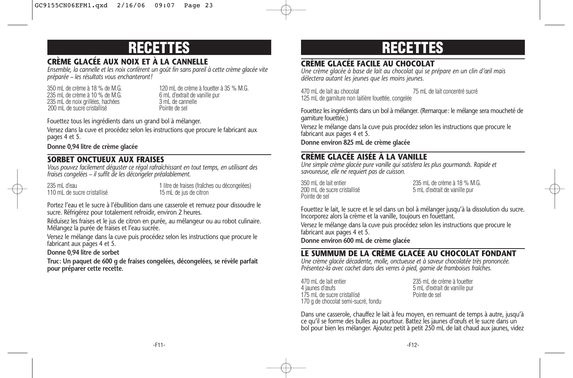# **RECETTES**

### **CRÈME GLACÉE AUX NOIX ET À LA CANNELLE**

*Ensemble, la cannelle et les noix confèrent un goût fin sans pareil à cette crème glacée vite préparée – les résultats vous enchanteront!*

235 mL de crème à 10 % de M.G. 6 mL d'extrait de vanille pur la 10 % de M.G. 6 mL d'extrait de vanille pur la<br>235 mL de noix grillées, hachées 6 mL de cannelle puissance de vanille puissance de la 10 m 235 mL de noix grillées, hachées 3 mL de cannelle 3 mL de cannelle sel<br>3 mL de sucre cristallisé 200 mL de sucre cristallisé

350 mL de crème à 18 % de M.G.<br>235 mL de crème à 10 % de M.G. 120 mL d'extrait de vanille pur

Fouettez tous les ingrédients dans un grand bol à mélanger.

Versez dans la cuve et procédez selon les instructions que procure le fabricant aux pages 4 et 5.

**Donne 0,94 litre de crème glacée**

### **SORBET ONCTUEUX AUX FRAISES**

*Vous pouvez facilement déguster ce régal rafraîchissant en tout temps, en utilisant des fraises congelées – il suffit de les décongeler préalablement.*

110 mL de sucre cristallisé

235 mL d'eau 1 litre de fraises (fraîches ou décongelées)<br>110 mL de sucre cristallisé de sucre de 15 mL de jus de citron

Portez l'eau et le sucre à l'ébullition dans une casserole et remuez pour dissoudre le sucre. Réfrigérez pour totalement refroidir, environ 2 heures.

Réduisez les fraises et le jus de citron en purée, au mélangeur ou au robot culinaire. Mélangez la purée de fraises et l'eau sucrée.

Versez le mélange dans la cuve puis procédez selon les instructions que procure le fabricant aux pages 4 et 5.

### **Donne 0,94 litre de sorbet**

**Truc: Un paquet de 600 g de fraises congelées, décongelées, se révèle parfait pour préparer cette recette.**

# **RECETTES**

### **CRÈME GLACÉE FACILE AU CHOCOLAT**

*Une crème glacée à base de lait au chocolat qui se prépare en un clin d'œil mais délectera autant les jeunes que les moins jeunes.*

470 mL de lait au chocolat 75 mL de lait concentré sucré 125 mL de garniture non laitière fouettée, congelée

Fouettez les ingrédients dans un bol à mélanger. (Remarque: le mélange sera moucheté de garniture fouettée.)

Versez le mélange dans la cuve puis procédez selon les instructions que procure le fabricant aux pages 4 et 5.

**Donne environ 825 mL de crème glacée**

### **CRÈME GLACÉE AISÉE À LA VANILLE**

*Une simple crème glacée pure vanille qui satisfera les plus gourmands. Rapide et savoureuse, elle ne requiert pas de cuisson.* 

Pointe de sel

350 mL de lait entier<br>200 mL de sucre cristallisé de la crème à 18 % M.G.<br>200 mL de sucre cristallisé de la crème de la crème de la crème de vanille pur 5 mL d'extrait de vanille pur

Fouettez le lait, le sucre et le sel dans un bol à mélanger jusqu'à la dissolution du sucre. Incorporez alors la crème et la vanille, toujours en fouettant.

Versez le mélange dans la cuve puis procédez selon les instructions que procure le fabricant aux pages 4 et 5.

**Donne environ 600 mL de crème glacée**

### **LE SUMMUM DE LA CRÈME GLACÉE AU CHOCOLAT FONDANT**

*Une crème glacée décadente, molle, onctueuse et à saveur chocolatée très prononcée. Présentez-la avec cachet dans des verres à pied, garnie de framboises fraîches.*

470 mL de lait entier entre sous-comme a fouetter 235 mL de crème à fouetter 4 janvier de crème à fouetter 4 janvier de sous-175 mL de sucre cristallisé 170 g de chocolat semi-sucré, fondu

5 mL d'extrait de vanille pur<br>Pointe de sel

Dans une casserole, chauffez le lait à feu moyen, en remuant de temps à autre, jusqu'à ce qu'il se forme des bulles au pourtour. Battez les jaunes d'œufs et le sucre dans un bol pour bien les mélanger. Ajoutez petit à petit 250 mL de lait chaud aux jaunes, videz